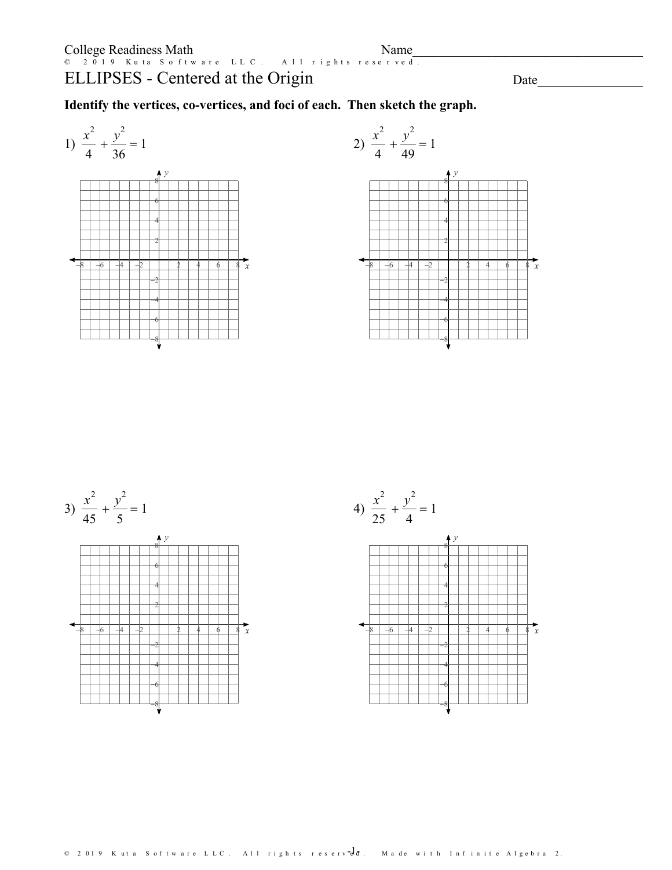## ELLIPSES - Centered at the Origin

Date

Identify the vertices, co-vertices, and foci of each. Then sketch the graph.

1) 
$$
\frac{x^2}{4} + \frac{y^2}{36} = 1
$$





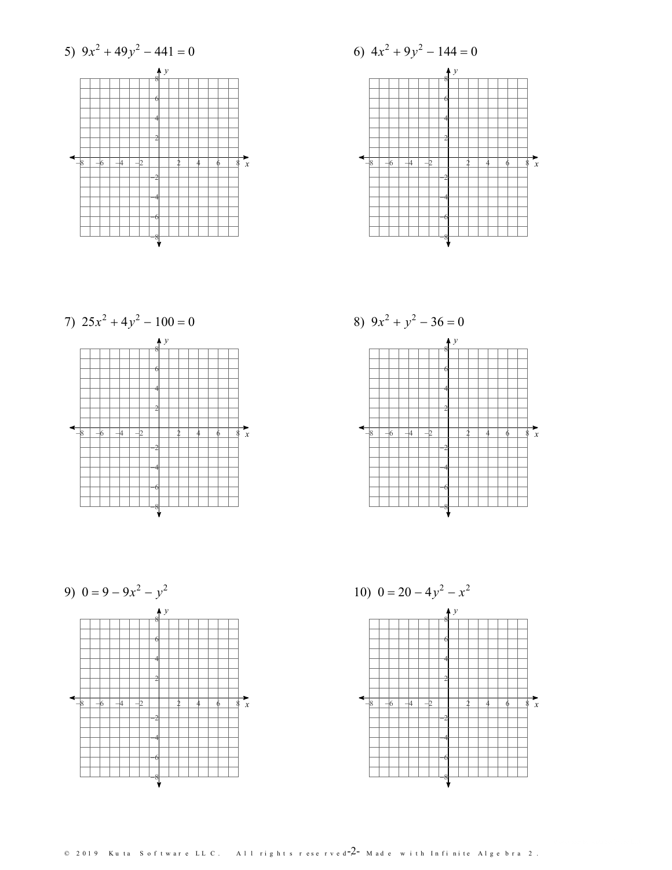



7) 
$$
25x^2 + 4y^2 - 100 = 0
$$
  
\n  
\n6  
\n6  
\n4  
\n2  
\n2  
\n8  
\n-6  
\n4  
\n2  
\n2  
\n4  
\n6  
\n8  
\n9  
\n9  
\n9  
\n100 = 0

9) 
$$
0 = 9 - 9x^2 - y^2
$$



10) 
$$
0 = 20 - 4y^{2} - x^{2}
$$

 $\sim$ 

 $\odot$  2019 Kuta Software LLC. All rights reserved  $-2$  - Made with Infinite Algebra 2.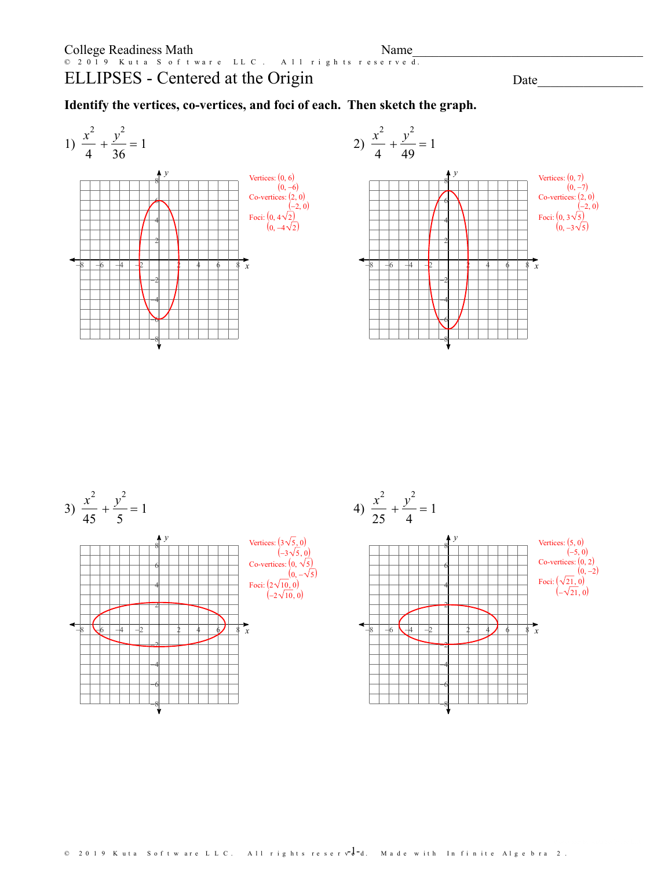## ELLIPSES - Centered at the Origin © 2019 Kuta Software LLC. All rights reserved.

## Date\_\_\_\_\_\_\_\_\_\_\_\_\_\_\_\_

**Identify the vertices, co-vertices, and foci of each. Then sketch the graph.**